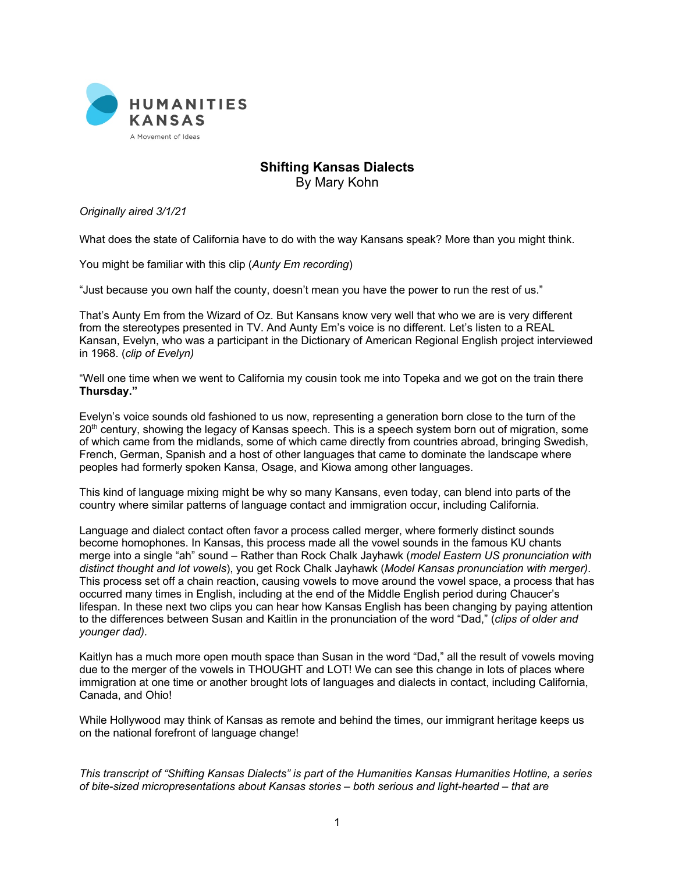

## **Shifting Kansas Dialects** By Mary Kohn

*Originally aired 3/1/21*

What does the state of California have to do with the way Kansans speak? More than you might think.

You might be familiar with this clip (*Aunty Em recording*)

"Just because you own half the county, doesn't mean you have the power to run the rest of us."

That's Aunty Em from the Wizard of Oz. But Kansans know very well that who we are is very different from the stereotypes presented in TV. And Aunty Em's voice is no different. Let's listen to a REAL Kansan, Evelyn, who was a participant in the Dictionary of American Regional English project interviewed in 1968. (*clip of Evelyn)*

"Well one time when we went to California my cousin took me into Topeka and we got on the train there **Thursday."**

Evelyn's voice sounds old fashioned to us now, representing a generation born close to the turn of the 20<sup>th</sup> century, showing the legacy of Kansas speech. This is a speech system born out of migration, some of which came from the midlands, some of which came directly from countries abroad, bringing Swedish, French, German, Spanish and a host of other languages that came to dominate the landscape where peoples had formerly spoken Kansa, Osage, and Kiowa among other languages.

This kind of language mixing might be why so many Kansans, even today, can blend into parts of the country where similar patterns of language contact and immigration occur, including California.

Language and dialect contact often favor a process called merger, where formerly distinct sounds become homophones. In Kansas, this process made all the vowel sounds in the famous KU chants merge into a single "ah" sound – Rather than Rock Chalk Jayhawk (*model Eastern US pronunciation with distinct thought and lot vowels*), you get Rock Chalk Jayhawk (*Model Kansas pronunciation with merger)*. This process set off a chain reaction, causing vowels to move around the vowel space, a process that has occurred many times in English, including at the end of the Middle English period during Chaucer's lifespan. In these next two clips you can hear how Kansas English has been changing by paying attention to the differences between Susan and Kaitlin in the pronunciation of the word "Dad," (*clips of older and younger dad).*

Kaitlyn has a much more open mouth space than Susan in the word "Dad," all the result of vowels moving due to the merger of the vowels in THOUGHT and LOT! We can see this change in lots of places where immigration at one time or another brought lots of languages and dialects in contact, including California, Canada, and Ohio!

While Hollywood may think of Kansas as remote and behind the times, our immigrant heritage keeps us on the national forefront of language change!

*This transcript of "Shifting Kansas Dialects" is part of the Humanities Kansas Humanities Hotline, a series of bite-sized micropresentations about Kansas stories – both serious and light-hearted – that are*